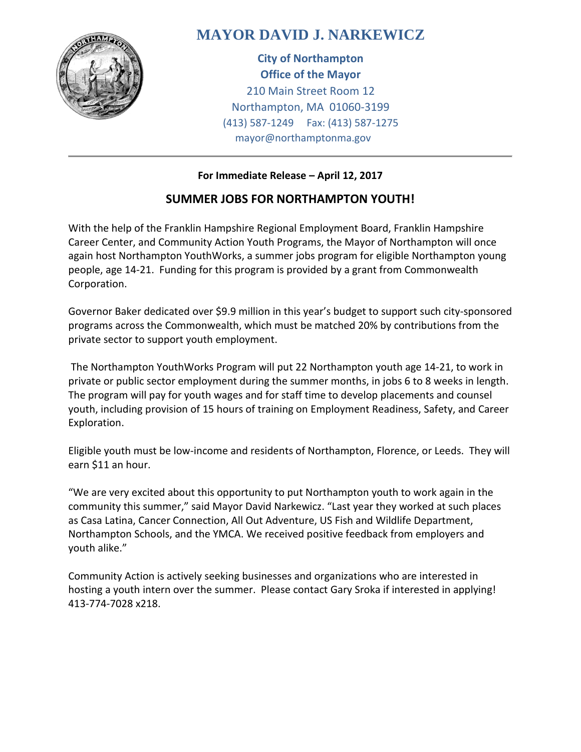

## **MAYOR DAVID J. NARKEWICZ**

**City of Northampton Office of the Mayor** 210 Main Street Room 12 Northampton, MA 01060-3199 (413) 587-1249 Fax: (413) 587-1275 mayor@northamptonma.gov

## **For Immediate Release – April 12, 2017**

## **SUMMER JOBS FOR NORTHAMPTON YOUTH!**

With the help of the Franklin Hampshire Regional Employment Board, Franklin Hampshire Career Center, and Community Action Youth Programs, the Mayor of Northampton will once again host Northampton YouthWorks, a summer jobs program for eligible Northampton young people, age 14-21. Funding for this program is provided by a grant from Commonwealth Corporation.

Governor Baker dedicated over \$9.9 million in this year's budget to support such city-sponsored programs across the Commonwealth, which must be matched 20% by contributions from the private sector to support youth employment.

The Northampton YouthWorks Program will put 22 Northampton youth age 14-21, to work in private or public sector employment during the summer months, in jobs 6 to 8 weeks in length. The program will pay for youth wages and for staff time to develop placements and counsel youth, including provision of 15 hours of training on Employment Readiness, Safety, and Career Exploration.

Eligible youth must be low-income and residents of Northampton, Florence, or Leeds. They will earn \$11 an hour.

"We are very excited about this opportunity to put Northampton youth to work again in the community this summer," said Mayor David Narkewicz. "Last year they worked at such places as Casa Latina, Cancer Connection, All Out Adventure, US Fish and Wildlife Department, Northampton Schools, and the YMCA. We received positive feedback from employers and youth alike."

Community Action is actively seeking businesses and organizations who are interested in hosting a youth intern over the summer. Please contact Gary Sroka if interested in applying! 413-774-7028 x218.